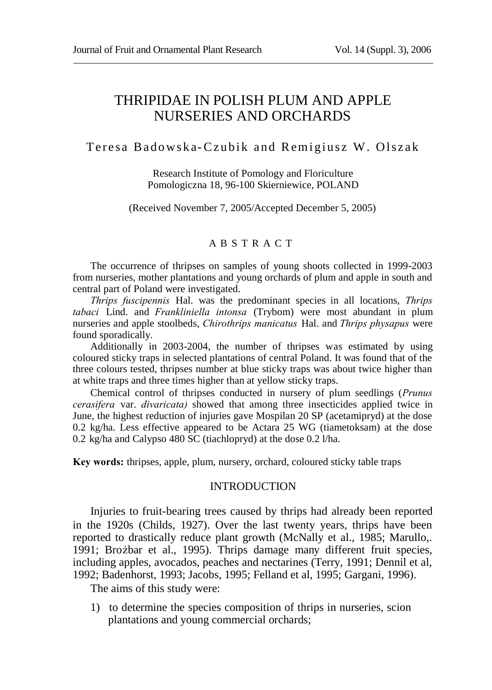## THRIPIDAE IN POLISH PLUM AND APPLE NURSERIES AND ORCHARDS

#### Teresa Badowska-Czubik and Remigiusz W. Olszak

Research Institute of Pomology and Floriculture Pomologiczna 18, 96-100 Skierniewice, POLAND

(Received November 7, 2005/Accepted December 5, 2005)

#### A B S T R A C T

The occurrence of thripses on samples of young shoots collected in 1999-2003 from nurseries, mother plantations and young orchards of plum and apple in south and central part of Poland were investigated.

*Thrips fuscipennis* Hal. was the predominant species in all locations, *Thrips tabaci* Lind. and *Frankliniella intonsa* (Trybom) were most abundant in plum nurseries and apple stoolbeds, *Chirothrips manicatus* Hal. and *Thrips physapus* were found sporadically.

Additionally in 2003-2004, the number of thripses was estimated by using coloured sticky traps in selected plantations of central Poland. It was found that of the three colours tested, thripses number at blue sticky traps was about twice higher than at white traps and three times higher than at yellow sticky traps.

Chemical control of thripses conducted in nursery of plum seedlings (*Prunus cerasifera* var. *divaricata)* showed that among three insecticides applied twice in June, the highest reduction of injuries gave Mospilan 20 SP (acetamipryd) at the dose 0.2 kg/ha. Less effective appeared to be Actara 25 WG (tiametoksam) at the dose 0.2 kg/ha and Calypso 480 SC (tiachlopryd) at the dose 0.2 l/ha.

**Key words:** thripses, apple, plum, nursery, orchard, coloured sticky table traps

#### INTRODUCTION

Injuries to fruit-bearing trees caused by thrips had already been reported in the 1920s (Childs, 1927). Over the last twenty years, thrips have been reported to drastically reduce plant growth (McNally et al., 1985; Marullo,. 1991; Brożbar et al., 1995). Thrips damage many different fruit species, including apples, avocados, peaches and nectarines (Terry, 1991; Dennil et al, 1992; Badenhorst, 1993; Jacobs, 1995; Felland et al, 1995; Gargani, 1996).

The aims of this study were:

1) to determine the species composition of thrips in nurseries, scion plantations and young commercial orchards;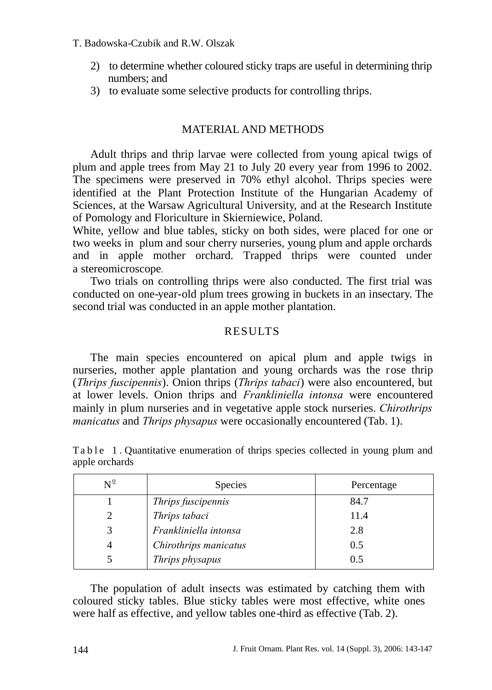#### T. Badowska-Czubik and R.W. Olszak

- 2) to determine whether coloured sticky traps are useful in determining thrip numbers; and
- 3) to evaluate some selective products for controlling thrips.

#### MATERIAL AND METHODS

Adult thrips and thrip larvae were collected from young apical twigs of plum and apple trees from May 21 to July 20 every year from 1996 to 2002. The specimens were preserved in 70% ethyl alcohol. Thrips species were identified at the Plant Protection Institute of the Hungarian Academy of Sciences, at the Warsaw Agricultural University, and at the Research Institute of Pomology and Floriculture in Skierniewice, Poland.

White, yellow and blue tables, sticky on both sides, were placed for one or two weeks in plum and sour cherry nurseries, young plum and apple orchards and in apple mother orchard. Trapped thrips were counted under a stereomicroscope.

Two trials on controlling thrips were also conducted. The first trial was conducted on one-year-old plum trees growing in buckets in an insectary. The second trial was conducted in an apple mother plantation.

#### **RESULTS**

The main species encountered on apical plum and apple twigs in nurseries, mother apple plantation and young orchards was the rose thrip (*Thrips fuscipennis*). Onion thrips (*Thrips tabaci*) were also encountered, but at lower levels. Onion thrips and *Frankliniella intonsa* were encountered mainly in plum nurseries and in vegetative apple stock nurseries. *Chirothrips manicatus* and *Thrips physapus* were occasionally encountered (Tab. 1).

| $N^{\underline{0}}$ | <b>Species</b>        | Percentage |
|---------------------|-----------------------|------------|
|                     | Thrips fuscipennis    | 84.7       |
| 2                   | Thrips tabaci         | 11.4       |
|                     | Frankliniella intonsa | 2.8        |
|                     | Chirothrips manicatus | 0.5        |
|                     | Thrips physapus       | 0.5        |

Ta b l e 1. Quantitative enumeration of thrips species collected in young plum and apple orchards

The population of adult insects was estimated by catching them with coloured sticky tables. Blue sticky tables were most effective, white ones were half as effective, and yellow tables one-third as effective (Tab. 2).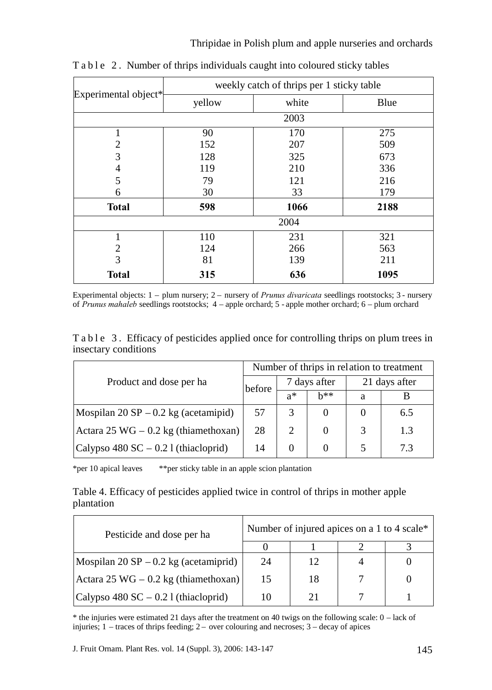|                            | weekly catch of thrips per 1 sticky table |       |      |  |  |  |  |
|----------------------------|-------------------------------------------|-------|------|--|--|--|--|
| Experimental object*       | yellow                                    | white | Blue |  |  |  |  |
| 2003                       |                                           |       |      |  |  |  |  |
|                            | 90                                        | 170   | 275  |  |  |  |  |
| 2                          | 152                                       | 207   | 509  |  |  |  |  |
| 3                          | 128                                       | 325   | 673  |  |  |  |  |
| 4                          | 119                                       | 210   | 336  |  |  |  |  |
| 5                          | 79                                        | 121   | 216  |  |  |  |  |
| 6                          | 30                                        | 33    | 179  |  |  |  |  |
| <b>Total</b>               | 598                                       | 1066  | 2188 |  |  |  |  |
| 2004                       |                                           |       |      |  |  |  |  |
|                            | 231<br>110                                |       | 321  |  |  |  |  |
| 2                          | 124                                       | 266   | 563  |  |  |  |  |
| 3                          | 81                                        |       | 211  |  |  |  |  |
| 636<br>315<br><b>Total</b> |                                           | 1095  |      |  |  |  |  |

T a b l e 2. Number of thrips individuals caught into coloured sticky tables

Experimental objects: 1 – plum nursery; 2 – nursery of *Prunus divaricata* seedlings rootstocks; 3 - nursery of *Prunus mahaleb* seedlings rootstocks; 4 – apple orchard; 5 - apple mother orchard; 6 – plum orchard

Table 3. Efficacy of pesticides applied once for controlling thrips on plum trees in insectary conditions

|                                         | Number of thrips in relation to treatment |              |       |               |     |
|-----------------------------------------|-------------------------------------------|--------------|-------|---------------|-----|
| Product and dose per ha                 | hefore                                    | 7 days after |       | 21 days after |     |
|                                         |                                           | $a^*$        | $h**$ | a             |     |
| Mospilan $20$ SP $-0.2$ kg (acetamipid) | 57                                        | 3            |       |               | 6.5 |
| Actara 25 WG $-$ 0.2 kg (thiamethoxan)  | 28                                        | 2            |       | 3             | 1.3 |
| Calypso $480$ SC $- 0.21$ (thiacloprid) | 14                                        | $\Omega$     |       |               | 73  |

\*per 10 apical leaves \*\*per sticky table in an apple scion plantation

#### Table 4. Efficacy of pesticides applied twice in control of thrips in mother apple plantation

| Pesticide and dose per ha                     | Number of injured apices on a 1 to 4 scale* |    |  |  |  |
|-----------------------------------------------|---------------------------------------------|----|--|--|--|
|                                               |                                             |    |  |  |  |
| Mospilan $20$ SP $-0.2$ kg (acetamiprid)      | 24                                          | 12 |  |  |  |
| Actara 25 WG $-0.2$ kg (thiamethoxan)         | 15                                          | 18 |  |  |  |
| Calypso $480 \text{ SC} - 0.21$ (thiacloprid) | 10                                          | 21 |  |  |  |

\* the injuries were estimated 21 days after the treatment on 40 twigs on the following scale: 0 – lack of injuries; 1 – traces of thrips feeding; 2 – over colouring and necroses; 3 – decay of apices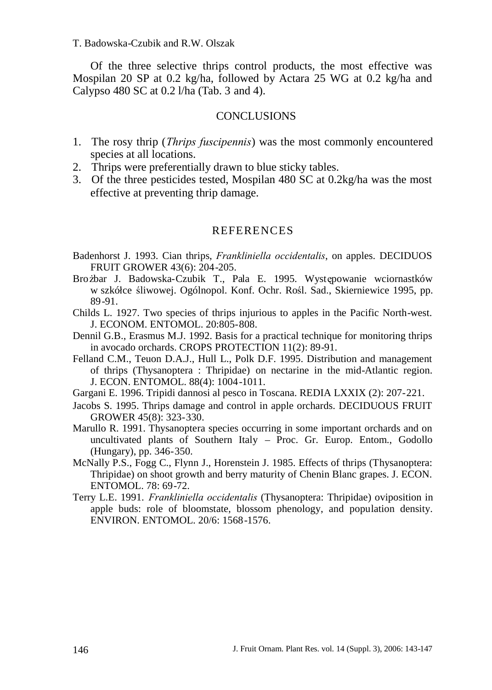T. Badowska-Czubik and R.W. Olszak

Of the three selective thrips control products, the most effective was Mospilan 20 SP at 0.2 kg/ha, followed by Actara 25 WG at 0.2 kg/ha and Calypso 480 SC at 0.2 l/ha (Tab. 3 and 4).

#### **CONCLUSIONS**

- 1. The rosy thrip (*Thrips fuscipennis*) was the most commonly encountered species at all locations.
- 2. Thrips were preferentially drawn to blue sticky tables.
- 3. Of the three pesticides tested, Mospilan 480 SC at 0.2kg/ha was the most effective at preventing thrip damage.

#### REFERENCES

- Badenhorst J. 1993. Cian thrips, *Frankliniella occidentalis*, on apples. DECIDUOS FRUIT GROWER 43(6): 204-205.
- Brożbar J. Badowska-Czubik T., Pala E. 1995. Występowanie wciornastków w szkółce śliwowej. Ogólnopol. Konf. Ochr. Rośl. Sad., Skierniewice 1995, pp. 89-91.
- Childs L. 1927. Two species of thrips injurious to apples in the Pacific North-west. J. ECONOM. ENTOMOL. 20:805-808.
- Dennil G.B., Erasmus M.J. 1992. Basis for a practical technique for monitoring thrips in avocado orchards. CROPS PROTECTION 11(2): 89-91.
- Felland C.M., Teuon D.A.J., Hull L., Polk D.F. 1995. Distribution and management of thrips (Thysanoptera : Thripidae) on nectarine in the mid-Atlantic region. J. ECON. ENTOMOL. 88(4): 1004-1011.
- Gargani E. 1996. Tripidi dannosi al pesco in Toscana. REDIA LXXIX (2): 207-221.
- Jacobs S. 1995. Thrips damage and control in apple orchards. DECIDUOUS FRUIT GROWER 45(8): 323-330.
- Marullo R. 1991. Thysanoptera species occurring in some important orchards and on uncultivated plants of Southern Italy – Proc. Gr. Europ. Entom., Godollo (Hungary), pp. 346-350.
- McNally P.S., Fogg C., Flynn J., Horenstein J. 1985. Effects of thrips (Thysanoptera: Thripidae) on shoot growth and berry maturity of Chenin Blanc grapes. J. ECON. ENTOMOL. 78: 69-72.
- Terry L.E. 1991. *Frankliniella occidentalis* (Thysanoptera: Thripidae) oviposition in apple buds: role of bloomstate, blossom phenology, and population density. ENVIRON. ENTOMOL. 20/6: 1568-1576.